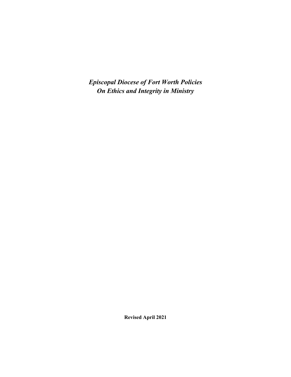*Episcopal Diocese of Fort Worth Policies On Ethics and Integrity in Ministry*

**Revised April 2021**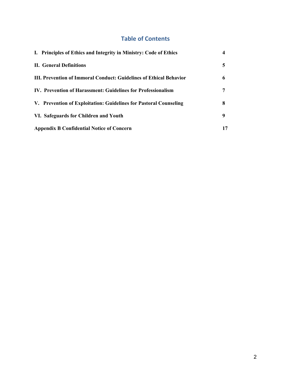# **Table of Contents**

| I. Principles of Ethics and Integrity in Ministry: Code of Ethics  |    |
|--------------------------------------------------------------------|----|
| <b>II.</b> General Definitions                                     | 5  |
| III. Prevention of Immoral Conduct: Guidelines of Ethical Behavior | 6  |
| IV. Prevention of Harassment: Guidelines for Professionalism       |    |
| V. Prevention of Exploitation: Guidelines for Pastoral Counseling  | 8  |
| VI. Safeguards for Children and Youth                              | 9  |
| <b>Appendix B Confidential Notice of Concern</b>                   | 17 |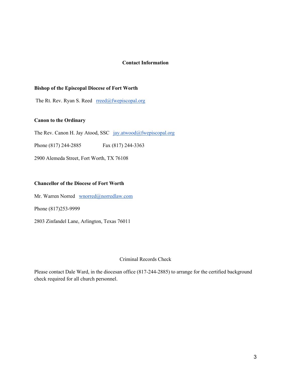### **Contact Information**

### **Bishop of the Episcopal Diocese of Fort Worth**

The Rt. Rev. Ryan S. Reed  $rread(\omega)$ fwepiscopal.org

### **Canon to the Ordinary**

The Rev. Canon H. Jay Atood, SSC jay.atwood@fwepiscopal.org

Phone (817) 244-2885 Fax (817) 244-3363

2900 Alemeda Street, Fort Worth, TX 76108

### **Chancellor of the Diocese of Fort Worth**

Mr. Warren Norred wnorred@norredlaw.com

Phone (817)253-9999

2803 Zinfandel Lane, Arlington, Texas 76011

### Criminal Records Check

Please contact Dale Ward, in the diocesan office (817-244-2885) to arrange for the certified background check required for all church personnel.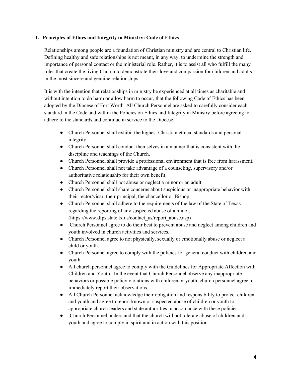### **I. Principles of Ethics and Integrity in Ministry: Code of Ethics**

Relationships among people are a foundation of Christian ministry and are central to Christian life. Defining healthy and safe relationships is not meant, in any way, to undermine the strength and importance of personal contact or the ministerial role. Rather, it is to assist all who fulfill the many roles that create the living Church to demonstrate their love and compassion for children and adults in the most sincere and genuine relationships.

It is with the intention that relationships in ministry be experienced at all times as charitable and without intention to do harm or allow harm to occur, that the following Code of Ethics has been adopted by the Diocese of Fort Worth. All Church Personnel are asked to carefully consider each standard in the Code and within the Policies on Ethics and Integrity in Ministry before agreeing to adhere to the standards and continue in service to the Diocese.

- Church Personnel shall exhibit the highest Christian ethical standards and personal integrity.
- Church Personnel shall conduct themselves in a manner that is consistent with the discipline and teachings of the Church.
- Church Personnel shall provide a professional environment that is free from harassment.
- Church Personnel shall not take advantage of a counseling, supervisory and/or authoritative relationship for their own benefit.
- Church Personnel shall not abuse or neglect a minor or an adult.
- Church Personnel shall share concerns about suspicious or inappropriate behavior with their rector/vicar, their principal, the chancellor or Bishop.
- Church Personnel shall adhere to the requirements of the law of the State of Texas regarding the reporting of any suspected abuse of a minor. (https://www.dfps.state.tx.us/contact\_us/report\_abuse.asp)
- Church Personnel agree to do their best to prevent abuse and neglect among children and youth involved in church activities and services.
- Church Personnel agree to not physically, sexually or emotionally abuse or neglect a child or youth.
- Church Personnel agree to comply with the policies for general conduct with children and youth.
- All church personnel agree to comply with the Guidelines for Appropriate Affection with Children and Youth.In the event that Church Personnel observe any inappropriate behaviors or possible policy violations with children or youth, church personnel agree to immediately report their observations.
- All Church Personnel acknowledge their obligation and responsibility to protect children and youth and agree to report known or suspected abuse of children or youth to appropriate church leaders and state authorities in accordance with these policies.
- Church Personnel understand that the church will not tolerate abuse of children and youth and agree to comply in spirit and in action with this position.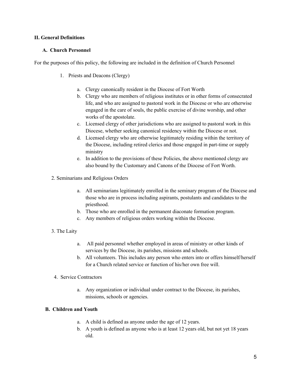### **II. General Definitions**

### **A. Church Personnel**

For the purposes of this policy, the following are included in the definition of Church Personnel

- 1. Priests and Deacons (Clergy)
	- a. Clergy canonically resident in the Diocese of Fort Worth
	- b. Clergy who are members of religious institutes or in other forms of consecrated life, and who are assigned to pastoral work in the Diocese or who are otherwise engaged in the care of souls, the public exercise of divine worship, and other works of the apostolate.
	- c. Licensed clergy of other jurisdictions who are assigned to pastoral work in this Diocese, whether seeking canonical residency within the Diocese or not.
	- d. Licensed clergy who are otherwise legitimately residing within the territory of the Diocese, including retired clerics and those engaged in part-time or supply ministry
	- e. In addition to the provisions of these Policies, the above mentioned clergy are also bound by the Customary and Canons of the Diocese of Fort Worth.
- 2. Seminarians and Religious Orders
	- a. All seminarians legitimately enrolled in the seminary program of the Diocese and those who are in process including aspirants, postulants and candidates to the priesthood.
	- b. Those who are enrolled in the permanent diaconate formation program.
	- c. Any members of religious orders working within the Diocese.
- 3. The Laity
	- a. All paid personnel whether employed in areas of ministry or other kinds of services by the Diocese, its parishes, missions and schools.
	- b. All volunteers. This includes any person who enters into or offers himself/herself for a Church related service or function of his/her own free will.
- 4. Service Contractors
	- a. Any organization or individual under contract to the Diocese, its parishes, missions, schools or agencies.

# **B. Children and Youth**

- a. A child is defined as anyone under the age of 12 years.
- b. A youth is defined as anyone who is at least 12 years old, but not yet 18 years old.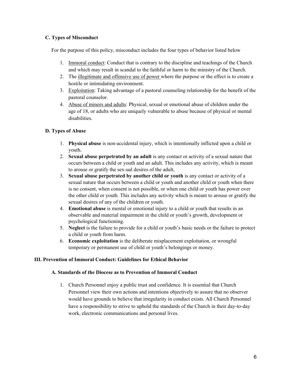# **C. Types of Misconduct**

For the purpose of this policy, misconduct includes the four types of behavior listed below

- 1. Immoral conduct: Conduct that is contrary to the discipline and teachings of the Church and which may result in scandal to the faithful or harm to the ministry of the Church.
- 2. The illegitimate and offensive use of power where the purpose or the effect is to create a hostile or intimidating environment.
- 3. Exploitation: Taking advantage of a pastoral counseling relationship for the benefit of the pastoral counselor.
- 4. Abuse of minors and adults: Physical, sexual or emotional abuse of children under the age of 18, or adults who are uniquely vulnerable to abuse because of physical or mental disabilities.

# **D. Types of Abuse**

- 1. **Physical abuse** is non-accidental injury, which is intentionally inflicted upon a child or youth.
- 2. **Sexual abuse perpetrated by an adult** is any contact or activity of a sexual nature that occurs between a child or youth and an adult. This includes any activity, which is meant to arouse or gratify the sex-ual desires of the adult,
- 3. **Sexual abuse perpetrated by another child or youth** is any contact or activity of a sexual nature that occurs between a child or youth and another child or youth when there is no consent, when consent is not possible, or when one child or youth has power over the other child or youth. This includes any activity which is meant to arouse or gratify the sexual desires of any of the children or youth.
- 4. **Emotional abuse** is mental or emotional injury to a child or youth that results in an observable and material impairment in the child or youth's growth, development or psychological functioning.
- 5. **Neglect** is the failure to provide for a child or youth's basic needs or the failure to protect a child or youth from harm.
- 6. **Economic exploitation** is the deliberate misplacement exploitation, or wrongful temporary or permanent use of child or youth's belongings or money.

# **III. Prevention of Immoral Conduct: Guidelines for Ethical Behavior**

### **A. Standards of the Diocese as to Prevention of Immoral Conduct**

1. Church Personnel enjoy a public trust and confidence. It is essential that Church Personnel view their own actions and intentions objectively to assure that no observer would have grounds to believe that irregularity in conduct exists. All Church Personnel have a responsibility to strive to uphold the standards of the Church in their day-to-day work, electronic communications and personal lives.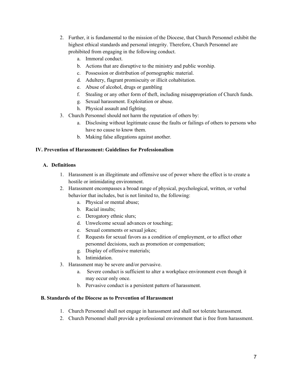- 2. Further, it is fundamental to the mission of the Diocese, that Church Personnel exhibit the highest ethical standards and personal integrity. Therefore, Church Personnel are prohibited from engaging in the following conduct.
	- a. Immoral conduct.
	- b. Actions that are disruptive to the ministry and public worship.
	- c. Possession or distribution of pornographic material.
	- d. Adultery, flagrant promiscuity or illicit cohabitation.
	- e. Abuse of alcohol, drugs or gambling
	- f. Stealing or any other form of theft, including misappropriation of Church funds.
	- g. Sexual harassment. Exploitation or abuse.
	- h. Physical assault and fighting.
- 3. Church Personnel should not harm the reputation of others by:
	- a. Disclosing without legitimate cause the faults or failings of others to persons who have no cause to know them.
	- b. Making false allegations against another.

### **IV. Prevention of Harassment: Guidelines for Professionalism**

### **A. Definitions**

- 1. Harassment is an illegitimate and offensive use of power where the effect is to create a hostile or intimidating environment.
- 2. Harassment encompasses a broad range of physical, psychological, written, or verbal behavior that includes, but is not limited to, the following:
	- a. Physical or mental abuse;
	- b. Racial insults;
	- c. Derogatory ethnic slurs;
	- d. Unwelcome sexual advances or touching;
	- e. Sexual comments or sexual jokes;
	- f. Requests for sexual favors as a condition of employment, or to affect other personnel decisions, such as promotion or compensation;
	- g. Display of offensive materials;
	- h. Intimidation.
- 3. Harassment may be severe and/or pervasive.
	- a. Severe conduct is sufficient to alter a workplace environment even though it may occur only once.
	- b. Pervasive conduct is a persistent pattern of harassment.

### **B. Standards of the Diocese as to Prevention of Harassment**

- 1. Church Personnel shall not engage in harassment and shall not tolerate harassment.
- 2. Church Personnel shall provide a professional environment that is free from harassment.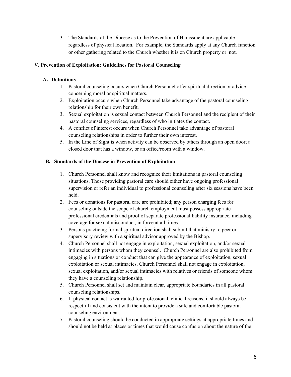3. The Standards of the Diocese as to the Prevention of Harassment are applicable regardless of physical location. For example, the Standards apply at any Church function or other gathering related to the Church whether it is on Church property or not.

# **V. Prevention of Exploitation: Guidelines for Pastoral Counseling**

# **A. Definitions**

- 1. Pastoral counseling occurs when Church Personnel offer spiritual direction or advice concerning moral or spiritual matters.
- 2. Exploitation occurs when Church Personnel take advantage of the pastoral counseling relationship for their own benefit.
- 3. Sexual exploitation is sexual contact between Church Personnel and the recipient of their pastoral counseling services, regardless of who initiates the contact.
- 4. A conflict of interest occurs when Church Personnel take advantage of pastoral counseling relationships in order to further their own interest.
- 5. In the Line of Sight is when activity can be observed by others through an open door; a closed door that has a window, or an office/room with a window.

# **B. Standards of the Diocese in Prevention of Exploitation**

- 1. Church Personnel shall know and recognize their limitations in pastoral counseling situations. Those providing pastoral care should either have ongoing professional supervision or refer an individual to professional counseling after six sessions have been held.
- 2. Fees or donations for pastoral care are prohibited; any person charging fees for counseling outside the scope of church employment must possess appropriate professional credentials and proof of separate professional liability insurance, including coverage for sexual misconduct, in force at all times.
- 3. Persons practicing formal spiritual direction shall submit that ministry to peer or supervisory review with a spiritual advisor approved by the Bishop.
- 4. Church Personnel shall not engage in exploitation, sexual exploitation, and/or sexual intimacies with persons whom they counsel. Church Personnel are also prohibited from engaging in situations or conduct that can give the appearance of exploitation, sexual exploitation or sexual intimacies. Church Personnel shall not engage in exploitation, sexual exploitation, and/or sexual intimacies with relatives or friends of someone whom they have a counseling relationship.
- 5. Church Personnel shall set and maintain clear, appropriate boundaries in all pastoral counseling relationships.
- 6. If physical contact is warranted for professional, clinical reasons, it should always be respectful and consistent with the intent to provide a safe and comfortable pastoral counseling environment.
- 7. Pastoral counseling should be conducted in appropriate settings at appropriate times and should not be held at places or times that would cause confusion about the nature of the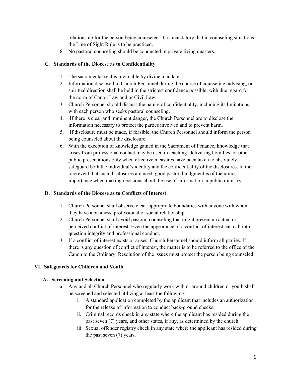relationship for the person being counseled. It is mandatory that in counseling situations, the Line of Sight Rule is to be practiced.

8. No pastoral counseling should be conducted in private living quarters.

### **C. Standards of the Diocese as to Confidentiality**

- 1. The sacramental seal is inviolable by divine mandate.
- 2. Information disclosed to Church Personnel during the course of counseling, advising, or spiritual direction shall be held in the strictest confidence possible, with due regard for the norm of Canon Law and or Civil Law.
- 3. Church Personnel should discuss the nature of confidentiality, including its limitations, with each person who seeks pastoral counseling.
- 4. If there is clear and imminent danger, the Church Personnel are to disclose the information necessary to protect the parties involved and to prevent harm.
- 5. If disclosure must be made, if feasible, the Church Personnel should inform the person being counseled about the disclosure.
- 6. With the exception of knowledge gained in the Sacrament of Penance, knowledge that arises from professional contact may be used in teaching, delivering homilies, or other public presentations only when effective measures have been taken to absolutely safeguard both the individual's identity and the confidentiality of the disclosures. In the rare event that such disclosures are used, good pastoral judgment is of the utmost importance when making decisions about the use of information in public ministry.

### **D. Standards of the Diocese as to Conflicts of Interest**

- 1. Church Personnel shall observe clear, appropriate boundaries with anyone with whom they have a business, professional or social relationship.
- 2. Church Personnel shall avoid pastoral counseling that might present an actual or perceived conflict of interest. Even the appearance of a conflict of interest can call into question integrity and professional conduct.
- 3. If a conflict of interest exists or arises, Church Personnel should inform all parties. If there is any question of conflict of interest, the matter is to be referred to the office of the Canon to the Ordinary. Resolution of the issues must protect the person being counseled.

# **VI. Safeguards for Children and Youth**

### **A. Screening and Selection**

- a. Any and all Church Personnel who regularly work with or around children or youth shall be screened and selected utilizing at least the following:
	- i. A standard application completed by the applicant that includes an authorization for the release of information to conduct back-ground checks.
	- ii. Criminal records check in any state where the applicant has resided during the past seven (7) years, and other states, if any, as determined by the church.
	- iii. Sexual offender registry check in any state where the applicant has resided during the past seven (7) years.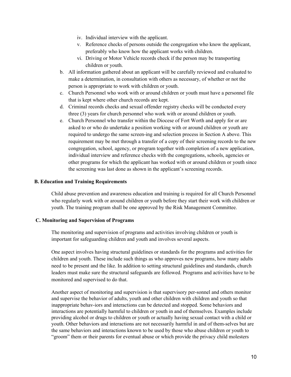- iv. Individual interview with the applicant.
- v. Reference checks of persons outside the congregation who know the applicant, preferably who know how the applicant works with children.
- vi. Driving or Motor Vehicle records check if the person may be transporting children or youth.
- b. All information gathered about an applicant will be carefully reviewed and evaluated to make a determination, in consultation with others as necessary, of whether or not the person is appropriate to work with children or youth.
- c. Church Personnel who work with or around children or youth must have a personnel file that is kept where other church records are kept.
- d. Criminal records checks and sexual offender registry checks will be conducted every three (3) years for church personnel who work with or around children or youth.
- e. Church Personnel who transfer within the Diocese of Fort Worth and apply for or are asked to or who do undertake a position working with or around children or youth are required to undergo the same screen-ing and selection process in Section A above. This requirement may be met through a transfer of a copy of their screening records to the new congregation, school, agency, or program together with completion of a new application, individual interview and reference checks with the congregations, schools, agencies or other programs for which the applicant has worked with or around children or youth since the screening was last done as shown in the applicant's screening records.

### **B. Education and Training Requirements**

Child abuse prevention and awareness education and training is required for all Church Personnel who regularly work with or around children or youth before they start their work with children or youth. The training program shall be one approved by the Risk Management Committee.

### **C. Monitoring and Supervision of Programs**

The monitoring and supervision of programs and activities involving children or youth is important for safeguarding children and youth and involves several aspects.

One aspect involves having structural guidelines or standards for the programs and activities for children and youth. These include such things as who approves new programs, how many adults need to be present and the like. In addition to setting structural guidelines and standards, church leaders must make sure the structural safeguards are followed. Programs and activities have to be monitored and supervised to do that.

Another aspect of monitoring and supervision is that supervisory per-sonnel and others monitor and supervise the behavior of adults, youth and other children with children and youth so that inappropriate behav-iors and interactions can be detected and stopped. Some behaviors and interactions are potentially harmful to children or youth in and of themselves. Examples include providing alcohol or drugs to children or youth or actually having sexual contact with a child or youth. Other behaviors and interactions are not necessarily harmful in and of them-selves but are the same behaviors and interactions known to be used by those who abuse children or youth to "groom" them or their parents for eventual abuse or which provide the privacy child molesters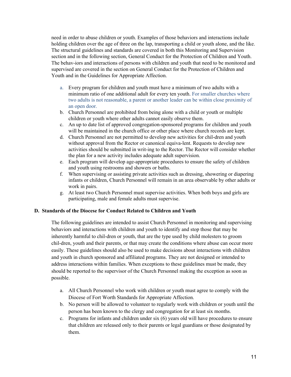need in order to abuse children or youth. Examples of those behaviors and interactions include holding children over the age of three on the lap, transporting a child or youth alone, and the like. The structural guidelines and standards are covered in both this Monitoring and Supervision section and in the following section, General Conduct for the Protection of Children and Youth. The behav-iors and interactions of persons with children and youth that need to be monitored and supervised are covered in the section on General Conduct for the Protection of Children and Youth and in the Guidelines for Appropriate Affection.

- a. Every program for children and youth must have a minimum of two adults with a minimum ratio of one additional adult for every ten youth. For smaller churches where two adults is not reasonable, a parent or another leader can be within close proximity of an open door.
- b. Church Personnel are prohibited from being alone with a child or youth or multiple children or youth where other adults cannot easily observe them.
- c. An up to date list of approved congregation-sponsored programs for children and youth will be maintained in the church office or other place where church records are kept.
- d. Church Personnel are not permitted to develop new activities for chil-dren and youth without approval from the Rector or canonical equiva-lent. Requests to develop new activities should be submitted in writ-ing to the Rector. The Rector will consider whether the plan for a new activity includes adequate adult supervision.
- e. Each program will develop age-appropriate procedures to ensure the safety of children and youth using restrooms and showers or baths.
- f. When supervising or assisting private activities such as dressing, showering or diapering infants or children, Church Personnel will remain in an area observable by other adults or work in pairs.
- g. At least two Church Personnel must supervise activities. When both boys and girls are participating, male and female adults must supervise.

# **D. Standards of the Diocese for Conduct Related to Children and Youth**

The following guidelines are intended to assist Church Personnel in monitoring and supervising behaviors and interactions with children and youth to identify and stop those that may be inherently harmful to chil-dren or youth, that are the type used by child molesters to groom chil-dren, youth and their parents, or that may create the conditions where abuse can occur more easily. These guidelines should also be used to make decisions about interactions with children and youth in church sponsored and affiliated programs. They are not designed or intended to address interactions within families. When exceptions to these guidelines must be made, they should be reported to the supervisor of the Church Personnel making the exception as soon as possible.

- a. All Church Personnel who work with children or youth must agree to comply with the Diocese of Fort Worth Standards for Appropriate Affection.
- b. No person will be allowed to volunteer to regularly work with children or youth until the person has been known to the clergy and congregation for at least six months.
- c. Programs for infants and children under six (6) years old will have procedures to ensure that children are released only to their parents or legal guardians or those designated by them.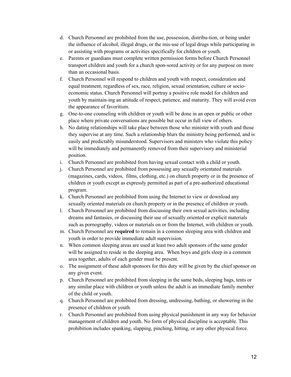- d. Church Personnel are prohibited from the use, possession, distribu-tion, or being under the influence of alcohol, illegal drugs, or the mis-use of legal drugs while participating in or assisting with programs or activities specifically for children or youth.
- e. Parents or guardians must complete written permission forms before Church Personnel transport children and youth for a church spon-sored activity or for any purpose on more than an occasional basis.
- f. Church Personnel will respond to children and youth with respect, consideration and equal treatment, regardless of sex, race, religion, sexual orientation, culture or socioeconomic status. Church Personnel will portray a positive role model for children and youth by maintain-ing an attitude of respect, patience, and maturity. They will avoid even the appearance of favoritism.
- g. One-to-one counseling with children or youth will be done in an open or public or other place where private conversations are possible but occur in full view of others.
- h. No dating relationships will take place between those who minister with youth and those they supervise at any time. Such a relationship blurs the ministry being performed, and is easily and predictably misunderstood. Supervisors and ministers who violate this policy will be immediately and permanently removed from their supervisory and ministerial position.
- i. Church Personnel are prohibited from having sexual contact with a child or youth.
- j. Church Personnel are prohibited from possessing any sexually orientated materials (magazines, cards, videos, films, clothing, etc.) on church property or in the presence of children or youth except as expressly permitted as part of a pre-authorized educational program.
- k. Church Personnel are prohibited from using the Internet to view or download any sexually oriented materials on church property or in the presence of children or youth.
- l. Church Personnel are prohibited from discussing their own sexual activities, including dreams and fantasies, or discussing their use of sexually oriented or explicit materials such as pornography, videos or materials on or from the Internet, with children or youth.
- m. Church Personnel are **required** to remain in a common sleeping area with children and youth in order to provide immediate adult supervision.
- n. When common sleeping areas are used at least two adult sponsors of the same gender will be assigned to reside in the sleeping area. When boys and girls sleep in a common area together, adults of each gender must be present.
- o. The assignment of these adult sponsors for this duty will be given by the chief sponsor on any given event.
- p. Church Personnel are prohibited from sleeping in the same beds, sleeping bags, tents or any similar place with children or youth unless the adult is an immediate family member of the child or youth.
- q. Church Personnel are prohibited from dressing, undressing, bathing, or showering in the presence of children or youth.
- r. Church Personnel are prohibited from using physical punishment in any way for behavior management of children and youth. No form of physical discipline is acceptable. This prohibition includes spanking, slapping, pinching, hitting, or any other physical force.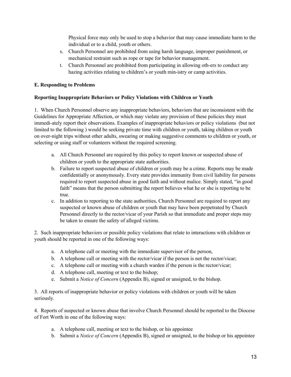Physical force may only be used to stop a behavior that may cause immediate harm to the individual or to a child, youth or others.

- s. Church Personnel are prohibited from using harsh language, improper punishment, or mechanical restraint such as rope or tape for behavior management.
- t. Church Personnel are prohibited from participating in allowing oth-ers to conduct any hazing activities relating to children's or youth min-istry or camp activities.

# **E. Responding to Problems**

### **Reporting Inappropriate Behaviors or Policy Violations with Children or Youth**

1. When Church Personnel observe any inappropriate behaviors, behaviors that are inconsistent with the Guidelines for Appropriate Affection, or which may violate any provision of these policies they must immedi-ately report their observations. Examples of inappropriate behaviors or policy violations (but not limited to the following ) would be seeking private time with children or youth, taking children or youth on over-night trips without other adults, swearing or making suggestive comments to children or youth, or selecting or using staff or volunteers without the required screening.

- a. All Church Personnel are required by this policy to report known or suspected abuse of children or youth to the appropriate state authorities.
- b. Failure to report suspected abuse of children or youth may be a crime. Reports may be made confidentially or anonymously. Every state provides immunity from civil liability for persons required to report suspected abuse in good faith and without malice. Simply stated, "in good faith" means that the person submitting the report believes what he or she is reporting to be true.
- c. In addition to reporting to the state authorities, Church Personnel are required to report any suspected or known abuse of children or youth that may have been perpetrated by Church Personnel directly to the rector/vicar of your Parish so that immediate and proper steps may be taken to ensure the safety of alleged victims.

2. Such inappropriate behaviors or possible policy violations that relate to interactions with children or youth should be reported in one of the following ways:

- a. A telephone call or meeting with the immediate supervisor of the person,
- b. A telephone call or meeting with the rector/vicar if the person is not the rector/vicar;
- c. A telephone call or meeting with a church warden if the person is the rector/vicar;
- d. A telephone call, meeting or text to the bishop;
- e. Submit a *Notice of Concern* (Appendix B), signed or unsigned, to the bishop.

3. All reports of inappropriate behavior or policy violations with children or youth will be taken seriously.

4. Reports of suspected or known abuse that involve Church Personnel should be reported to the Diocese of Fort Worth in one of the following ways:

- a. A telephone call, meeting or text to the bishop, or his appointee
- b. Submit a *Notice of Concern* (Appendix B), signed or unsigned, to the bishop or his appointee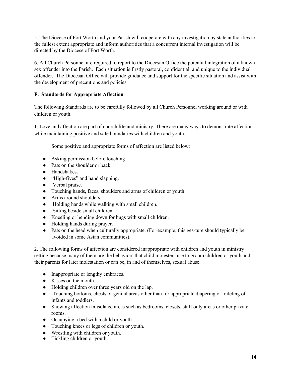5. The Diocese of Fort Worth and your Parish will cooperate with any investigation by state authorities to the fullest extent appropriate and inform authorities that a concurrent internal investigation will be directed by the Diocese of Fort Worth.

6. All Church Personnel are required to report to the Diocesan Office the potential integration of a known sex offender into the Parish. Each situation is firstly pastoral, confidential, and unique to the individual offender. The Diocesan Office will provide guidance and support for the specific situation and assist with the development of precautions and policies.

# **F. Standards for Appropriate Affection**

The following Standards are to be carefully followed by all Church Personnel working around or with children or youth.

1. Love and affection are part of church life and ministry. There are many ways to demonstrate affection while maintaining positive and safe boundaries with children and youth.

Some positive and appropriate forms of affection are listed below:

- Asking permission before touching
- Pats on the shoulder or back.
- Handshakes.
- "High-fives" and hand slapping.
- Verbal praise.
- Touching hands, faces, shoulders and arms of children or youth
- Arms around shoulders.
- Holding hands while walking with small children.
- Sitting beside small children.
- Kneeling or bending down for hugs with small children.
- Holding hands during prayer.
- Pats on the head when culturally appropriate. (For example, this ges-ture should typically be avoided in some Asian communities).

2. The following forms of affection are considered inappropriate with children and youth in ministry setting because many of them are the behaviors that child molesters use to groom children or youth and their parents for later molestation or can be, in and of themselves, sexual abuse.

- Inappropriate or lengthy embraces.
- Kisses on the mouth.
- Holding children over three years old on the lap.
- Touching bottoms, chests or genital areas other than for appropriate diapering or toileting of infants and toddlers.
- Showing affection in isolated areas such as bedrooms, closets, staff only areas or other private rooms.
- Occupying a bed with a child or youth
- Touching knees or legs of children or youth.
- Wrestling with children or youth.
- Tickling children or youth.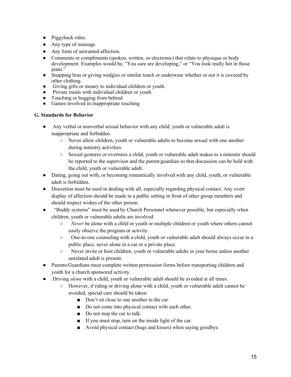- Piggyback rides.
- Any type of massage
- Any form of unwanted affection.
- Comments or compliments (spoken, written, or electronic) that relate to physique or body development. Examples would be, "You sure are developing," or "You look really hot in those jeans."
- Snapping bras or giving wedgies or similar touch or underwear whether or not it is covered by other clothing.
- Giving gifts or money to individual children or youth.
- Private meals with individual children or youth
- Touching or hugging from behind
- Games involved in inappropriate touching

### **G. Standards for Behavior**

- Any verbal or nonverbal sexual behavior with any child, youth or vulnerable adult is inappropriate and forbidden.
	- Never allow children, youth or vulnerable adults to become sexual with one another during ministry activities.
	- Sexual gestures or overtures a child, youth or vulnerable adult makes to a minister should be reported to the supervisor and the parent/guardian so that discussion can be held with the child, youth or vulnerable adult.
- Dating, going out with, or becoming romantically involved with any child, youth, or vulnerable adult is forbidden.
- Discretion must be used in dealing with all, especially regarding physical contact. Any overt display of affection should be made in a public setting in front of other group members and should respect wishes of the other person.
- "Buddy systems" must be used by Church Personnel whenever possible, but especially when children, youth or vulnerable adults are involved.
	- *Never* be alone with a child or youth or multiple children or youth where others cannot easily observe the program or activity.
	- One-to-one counseling with a child, youth or vulnerable adult should always occur in a public place, never alone in a car or a private place.
	- Never invite or host children, youth or vulnerable adults in your home unless another unrelated adult is present.
- Parents/Guardians must complete written permission forms before transporting children and youth for a church sponsored activity.
- Driving *alone* with a child, youth or vulnerable adult should be avoided at all times.
	- However, if riding or driving alone with a child, youth or vulnerable adult cannot be avoided, special care should be taken:
		- Don't sit close to one another in the car.
		- Do not come into physical contact with each other.
		- Do not stop the car to talk.
		- If you must stop, turn on the inside light of the car.
		- Avoid physical contact (hugs and kisses) when saying goodbye.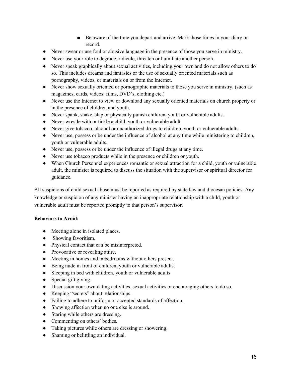- Be aware of the time you depart and arrive. Mark those times in your diary or record.
- Never swear or use foul or abusive language in the presence of those you serve in ministry.
- Never use your role to degrade, ridicule, threaten or humiliate another person.
- Never speak graphically about sexual activities, including your own and do not allow others to do so. This includes dreams and fantasies or the use of sexually oriented materials such as pornography, videos, or materials on or from the Internet.
- Never show sexually oriented or pornographic materials to those you serve in ministry. (such as magazines, cards, videos, films, DVD's, clothing etc.)
- Never use the Internet to view or download any sexually oriented materials on church property or in the presence of children and youth.
- Never spank, shake, slap or physically punish children, youth or vulnerable adults.
- Never wrestle with or tickle a child, youth or vulnerable adult
- Never give tobacco, alcohol or unauthorized drugs to children, youth or vulnerable adults.
- Never use, possess or be under the influence of alcohol at any time while ministering to children, youth or vulnerable adults.
- Never use, possess or be under the influence of illegal drugs at any time.
- Never use tobacco products while in the presence or children or youth.
- When Church Personnel experiences romantic or sexual attraction for a child, youth or vulnerable adult, the minister is required to discuss the situation with the supervisor or spiritual director for guidance.

All suspicions of child sexual abuse must be reported as required by state law and diocesan policies. Any knowledge or suspicion of any minister having an inappropriate relationship with a child, youth or vulnerable adult must be reported promptly to that person's supervisor.

# **Behaviors to Avoid:**

- Meeting alone in isolated places.
- Showing favoritism.
- Physical contact that can be misinterpreted.
- Provocative or revealing attire.
- Meeting in homes and in bedrooms without others present.
- Being nude in front of children, youth or vulnerable adults.
- Sleeping in bed with children, youth or vulnerable adults
- Special gift giving.
- Discussion your own dating activities, sexual activities or encouraging others to do so.
- Keeping "secrets" about relationships.
- Failing to adhere to uniform or accepted standards of affection.
- Showing affection when no one else is around.
- Staring while others are dressing.
- Commenting on others' bodies.
- Taking pictures while others are dressing or showering.
- Shaming or belittling an individual.